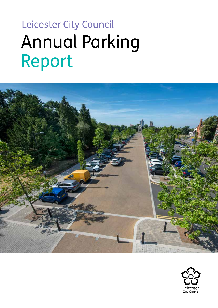# Leicester City Council Annual Parking Report



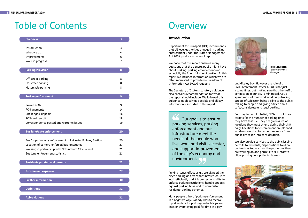# Table of Contents

| <b>Overview</b>                                                                                                                                                                                    | $\overline{3}$            |
|----------------------------------------------------------------------------------------------------------------------------------------------------------------------------------------------------|---------------------------|
| Introduction<br>What we do<br>Improvements<br>Work in progress                                                                                                                                     | 3<br>4<br>6<br>7          |
| <b>Parking Provision</b>                                                                                                                                                                           | 8                         |
| Off-street parking<br>On-street parking<br>Motorcycle parking                                                                                                                                      | 8<br>8<br>8               |
| <b>Parking enforcement</b>                                                                                                                                                                         | $\overline{9}$            |
| <b>Issued PCNs</b><br>PCN payments<br>Challenges, appeals<br>PCNs written off<br>Correspondence posted and warrants issued                                                                         | 9<br>14<br>16<br>18<br>19 |
| <b>Bus lane/gate enforcement</b>                                                                                                                                                                   | 20                        |
| Bus Stop clearway enforcement at Leicester Railway Station<br>Location of camera-enforced bus lane/gates<br>Working in partnership with Nottingham City Council<br>Bus lane enforcement statistics | 20<br>21<br>21<br>21      |
| <b>Residents parking and permits</b>                                                                                                                                                               | 23                        |
| <b>Income and expenses</b>                                                                                                                                                                         | 27                        |
| <b>Further information</b>                                                                                                                                                                         | 30                        |
| <b>Definitions</b>                                                                                                                                                                                 | 31                        |
| <b>Abbreviations</b>                                                                                                                                                                               | 31                        |

# **Overview**

## **Introduction**

Department for Transport (DfT) recommends that all local authorities engaged in parking enforcement under the Traffc Management Act 2004 produce an annual report.

We hope that this report answers many questions that the general public might have about parking, parking enforcement and especially the fnancial side of parking. In this report we included information which we are often requested to provide via Freedom of Information Act (FOIA) requests.

The Secretary of State's statutory guidance also contains recommendation for what the report should include. We followed this guidance as closely as possible and all key information is included in this report.

 Our goal is to ensure  $\begin{array}{c} 66 \\ \text{park} \\ \text{enfo} \end{array}$ parking services, parking enforcement and our infrastructure meet the needs of the people who live, work and visit Leicester, and support improvement of the city's economy and<br>environment. environment.

Parking issues affect us all. We all need the city's parking and transport infrastructure to work efficiently and it is our responsibility to enforce parking restrictions, handle appeals against parking fnes and to administer residents' parking schemes.

Many people think of parking enforcement in a negative way. Nobody likes to receive a parking fne for parking on double yellow lines or overstaying paid-for time in a pay



**Perri Stevenson**  Parking Services Manager

and display bay. However the role of a Civil Enforcement Officer (CEO) is not just issuing fines, but making sure that the traffic congestion in our city is minimised. CEOs spend most of their working days patrolling streets of Leicester, being visible to the public, talking to people and giving advice about safe, considerate and legal parking.

Contrary to popular belief, CEOs do not have targets for the number of parking fnes they have to issue. They are given a list of locations they must attend during their shift daily. Locations for enforcement are planned in advance and enforcement requests from public are taken into consideration.

We also provide services to the public issuing permits to residents, dispensations to allow contractors to park near the properties they are working on and permits to NHS staff to allow parking near patients' homes.

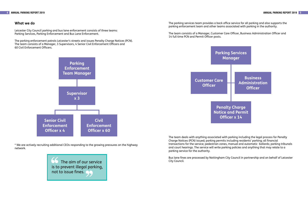**Business Administration Officer** 



### **What we do**

Leicester City Council parking and bus lane enforcement consists of three teams: Parking Services, Parking Enforcement and Bus Lane Enforcement.

The parking enforcement patrols Leicester's streets and issues Penalty Charge Notices (PCN). The team consists of a Manager, 3 Supervisors, 4 Senior Civil Enforcement Officers and 60 Civil Enforcement Offcers.

The parking services team provides a back office service for all parking and also supports the parking enforcement team and other teams associated with parking in the authority.

The team consists of a Manager, Customer Care Officer, Business Administration Officer and 14 full time PCN and Permit Officer posts.



\* We are actively recruiting additional CEOs responding to the growing pressures on the highway network.

The team deals with anything associated with parking including the legal process for Penalty Charge Notices (PCN) issued; parking permits including residents' parking; all fnancial transactions for the service; pedestrian zones, manual and automatic bollards; parking tribunals and court hearings. The service will write parking policies and anything that may relate to a parking service for the authority.

Bus lane fnes are processed by Nottingham City Council in partnership and on behalf of Leicester

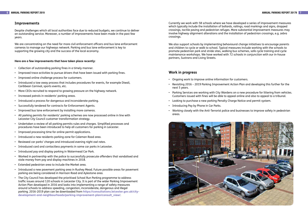We are concentrating on the need for more civil enforcement officers and bus lane enforcement cameras to manage our highways network. Parking and bus lane enforcement is key to supporting the growing city and the success of the local economy.

### **Improvements**

Despite challenges which all local authorities face due to reduced budgets, we continue to deliver an outstanding service. Moreover, a number of improvements have been made in the past few years.

### **Here are a few improvements that have taken place recently:**

- • Collection of outstanding parking fines in a timely manner.
- $\bm{\cdot}$   $\;$  Improved trace activities to pursue drivers that have been issued with parking fines.
- • Improved online challenge process for customers.
- • Introduced a tow away process that includes procedures for events, for example Diwali, Caribbean Carnival, sports events, etc.
- • More CEOs recruited to respond to growing pressure on the highway network.
- • Increased patrols in residents' parking areas.
- • Introduced a process for dangerous and inconsiderate parking.
- • Successfully tendered for contracts for Enforcement Agents.
- • Improved bus lane enforcement by installing more cameras.
- • All parking permits for residents' parking schemes are now processed online in line with Leicester City Council customer transformation strategy.
- • Undertaken a review of all parking permits rules and charges. Simplified processes and procedures have been introduced to help all customers for parking in Leicester.
- • Improved processing time for online permit applications.
- • Introduced a new residents parking zone for Coleman Road area.
- • Reviewed car parks' charges and introduced evening night owl rates.
- • Introduced card and contactless payments in some car parks in Leicester.
- • Introduced pay and display parking in Watermead Car Park.
- • Worked in partnership with the police to successfully prosecute offenders that vandalised and stole money from pay and display machines in 2018.
- • Extended pedestrian area to include the Market area.
- • Introduced a new pavement parking area in Rushey Mead. Future possible areas for pavement parking are being considered in Harrison Road and Aylestone area.
- • The City Council has developed the prioritised School Run Parking programme to address traffc issues around 120 schools in Leicester City. It is part of the wider Parking Improvement Action Plan developed in 2016 and looks into implementing a range of safety measures around schools to address speeding, congestion, inconsiderate, dangerous and illegal parking. 2016-2019 plan can be downloaded from **https://consultations.leicester.gov.uk/city[development-and-neighbourhoods/parking-improvement-plan/consult\\_view/](https://consultations.leicester.gov.uk/city-development-and-neighbourhoods/parking-improvement-plan/consult_view/)**.
- • Ongoing work to improve online information for customers.
- • Revisiting 2016 2019 Parking Improvement Action Plan and developing this further for the next 5 years.
- • Parking Services are working with City Wardens on a new procedure for littering from vehicles. Customers issued with fnes will be able to appeal online and also to appeal to a tribunal.
- • Looking to purchase a new parking Penalty Charge Notice and permit system.
- • Introducing Pay by Phone in Car Parks.
- • Working closely with the Anti-Terrorist police and businesses to improve safety in pedestrian areas.



Currently we work with 58 schools where we have developed a series of improvement measures which typically include the installation of bollards, railings, road markings and signs, dropped crossings, tactile paving and pedestrian refuges. More substantial improvement measures may involve highway alignment alterations and the installation of pedestrian crossings, e.g. zebra crossings.

We also support schools by implementing behavioural change initiatives to encourage parents and children to cycle or walk to school. Typical measures include working with the schools to promote pedestrian park and stride sites, walking bus schemes, safe cycle training and cycle maintenance workshops. We have worked with 72 schools in conjunction with our in-house partners, Sustrans and Living Streets.

### **Work in progress**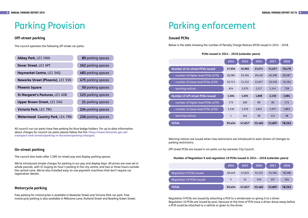# Parking Provision

## **Off-street parking**

The council operates the following off-street car parks:

| Abbey Park, LE1 3WA                      | 80 parking spaces  |
|------------------------------------------|--------------------|
| Dover Street, LE1 6PT                    | 162 parking spaces |
| Haymarket Centre, LE1 3HQ                | 485 parking spaces |
| <b>Newarke Street (Phoenix), LE1 5SN</b> | 475 parking spaces |
| <b>Phoenix Square</b>                    | 50 parking spaces  |
| St Margaret's Pastures, LE1 4DB          | 125 parking spaces |
| <b>Upper Brown Street, LE1 5AG</b>       | 21 parking spaces  |
| Victoria Park, LE1 7RU                   | 234 parking spaces |
| <b>Watermead Country Park, LE4 7RN</b>   | 236 parking spaces |

All council-run car parks have free parking for blue badge holders. For up to date information about charges for council car parks please follow the link: **https://www.leicester.gov.uk/ [transport-and-streets/parking-in-leicester/parking-charges/](https://www.leicester.gov.uk/transport-and-streets/parking-in-leicester/parking-charges/)**.

 Below is the table showing the number of Penalty Charge Notices (PCN) issued in 2014 – 2018.

## **On-street parking**

The council also looks after 1,585 on-street pay and display parking spaces.

We've introduced simple charges for parking in our pay and display bays. All prices are now set in whole pounds, with £1 buying an hour's parking in the city centre, and two or three hours outside the central zone. We've also installed easy-to-use payment machines that don't require car registration details.

## **Motorcycle parking**

Free parking for motorcycles is available in Newarke Street and Victoria Park car park. Free motorcycle parking is also available in Millstone Lane, Rutland Street and Bowling Green Street.

# Parking enforcement

# **Issued PCNs**

## **PCNs issued in 2014 – 2018 (calendar years)**

|                                         | 2014   | 2015   | 2016   | 2017   | 2018   |
|-----------------------------------------|--------|--------|--------|--------|--------|
| <b>Number of on-street PCNs issued</b>  | 37,950 | 45,966 | 53,674 | 51,657 | 76,478 |
| - number of higher level PCNs (£70)     | 26,584 | 33,764 | 39,430 | 40,198 | 60,587 |
| - number of lower level PCNs (£50)      | 10,712 | 11,132 | 12,027 | 10,318 | 15,163 |
| - warning notices                       | 654    | 1,070  | 2,217  | 1,141  | 728    |
| <b>Number of off-street PCNs issued</b> | 1,504  | 1,691  | 1,808  | 2,150  | 2,084  |
| - number of higher level PCNs ( $E$ 70) | 173    | 169    | 99     | 90     | 173    |
| - number of lower level PCNs (£50)      | 1,330  | 1,359  | 1,651  | 1,937  | 1,863  |
| - warning notices                       | 1      | 163    | 58     | 123    | 48     |
| <b>TOTAL</b>                            | 39,454 | 47,657 | 55,482 | 53,807 | 78,562 |

Warning notices are issued when new restrictions are introduced to warn drivers of changes to parking restrictions.

Off-street PCNs are issued in car parks run by Leicester City Council.

### **Number of Regulation 9 and regulation 10 PCNs issued in 2014 – 2018 (calendar years)**

| 2014   | 2015   | 2016   | 2017   | 2018   |
|--------|--------|--------|--------|--------|
| 39,449 | 47,625 | 55,333 | 53,700 | 78,398 |
| -5     | 32     | 149    | 107    | 164    |
| 9,454  | 47,657 | 55,482 | 53,807 | 78,562 |



Regulation 9 PCNs are issued by attaching a PCN to a windscreen or giving it to a driver. Regulation 10 PCNs are issued by post, because at the time of PCN issue a driver drove away before a PCN could be attached to a vehicle or given to the driver.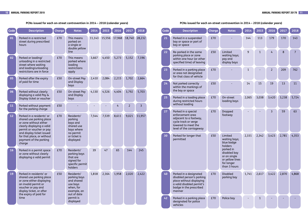### **PCNs issued for each on-street contravention in 2014 – 2018 (calendar years)**

| <b>Code</b> | <b>Description</b>                                                                                                                                                  | <b>Charge</b> | <b>Notes</b>                                                                       | 2014   | 2015   | 2016   | 2017   | 2018           | Code | <b>Description</b>                                                                                                                                | <b>Charge</b> | <b>Notes</b>                                                                               | 2014  | 2015  | 2016           | 2017  | 2018           |
|-------------|---------------------------------------------------------------------------------------------------------------------------------------------------------------------|---------------|------------------------------------------------------------------------------------|--------|--------|--------|--------|----------------|------|---------------------------------------------------------------------------------------------------------------------------------------------------|---------------|--------------------------------------------------------------------------------------------|-------|-------|----------------|-------|----------------|
| 01          | Parked in a restricted<br>street during prescribed<br>hours                                                                                                         | £70           | This means<br>parked on<br>a single or<br>double yellow                            | 11,143 | 15,556 | 17,968 | 18,740 | 28,232         | $21$ | Parked in a suspended<br>bay or space or part of<br>bay or space                                                                                  | £70           |                                                                                            | 144   | 113   | 179            | 170   | 143            |
| 02          | Parked or loading/<br>unloading in a restricted<br>street where waiting                                                                                             | £70           | line<br>This means<br>parked where<br>loading                                      | 3,667  | 4,450  | 5,273  | 5,152  | 7,196          | 22   | Re-parked in the same<br>parking place or zone<br>within one hour (or other<br>specified time) of leaving                                         | £50           | Limited<br>waiting bays;<br>pay and<br>display bays                                        | 9     |       |                | 8     | $\overline{7}$ |
|             | and loading/unloading<br>restrictions are in force                                                                                                                  |               | restrictions<br>apply                                                              |        |        |        |        |                | 23   | Parked in a parking place<br>or area not designated                                                                                               | £70           |                                                                                            |       |       |                | 209   | 762            |
| 05          | Parked after the expiry<br>of paid for time                                                                                                                         | £50           | On-street Pay<br>and Display<br>bays                                               | 2,410  | 2,084  | 2,215  | 1,702  | 2,664          | 24   | for that class of vehicle<br>Not parked correctly<br>within the markings of                                                                       | £50           |                                                                                            | 14    | 15    | 19             | 13    | 11             |
| 06          | Parked without clearly<br>displaying a valid Pay &                                                                                                                  | £50           | On-street Pay<br>and Display                                                       | 4,130  | 4,526  | 4,404  | 3,792  | 5,703          | 25   | the bay or space<br>Parked in a loading place                                                                                                     | £70           | On-street                                                                                  | 2,065 | 3,038 | 3,420          | 3,238 | 5,724          |
| <b>11</b>   | Display ticket or voucher<br>Parked without payment                                                                                                                 | £50           | bays                                                                               |        |        |        | 2      | $\overline{3}$ |      | during restricted hours<br>without loading                                                                                                        |               | loading bays                                                                               |       |       |                |       |                |
| 12          | for the parking charge<br>Parked in a residents' or<br>shared use parking place<br>or zone without either<br>clearly displaying a valid<br>permit or voucher or pay | £70           | Residents'<br>parking<br>bays and<br>shared use<br>bays where                      | 7,544  | 7,539  | 8,611  | 9,021  | 11,957         | 27   | Parked in a special<br>enforcement area<br>adjacent to a footway,<br>cycle track or verge<br>lowered to meet the<br>level of the carriageway      | £70           | Dropped<br>footway                                                                         |       |       | $\overline{3}$ | 59    | 63             |
|             | and display ticket issued<br>for that place, or without<br>payment of the parking<br>charge                                                                         |               | no permit<br>or ticket is<br>displayed                                             |        |        |        |        |                | 30   | Parked for longer that<br>permitted                                                                                                               | £50           | Limited<br>waiting bays;<br>blue badge<br>holders                                          | 2,331 | 2,342 | 3,423          | 2,781 | 4,353          |
| <b>16</b>   | Parked in a permit space<br>or zone without clearly<br>displaying a valid permit                                                                                    | £70           | Residents'<br>parking bays<br>that are<br>signed for<br>specific permit<br>holders | 39     | 47     | 65     | 144    | 245            |      |                                                                                                                                                   |               | parked in<br>disabled bay<br>or on single<br>or yellow lines<br>for longer<br>than 3 hours |       |       |                |       |                |
| <b>19</b>   | Parked in residents' or<br>shared use parking place<br>or zone either displaying<br>an invalid permit or<br>voucher or pay and<br>display ticket, or after          | £50           | Residents'<br>parking bays<br>and shared<br>use bays<br>when, for<br>example, an   | 1,818  | 2,164  | 1,958  | 2,020  | 2,422          | 40   | Parked in a designated<br>disabled person's parking<br>place without displaying<br>a valid disabled permit's<br>badge in the prescribed<br>manner | £70           | <b>Disabled</b><br>parking bay                                                             | 1,741 | 2,617 | 3,422          | 2,870 | 4,868          |
|             | the expiry of paid for<br>time                                                                                                                                      |               | out of date<br>permit is<br>displayed                                              |        |        |        |        |                | 42   | Parked in a parking place<br>designated for police<br>obiclos                                                                                     | £70           | Police bay                                                                                 |       |       |                |       |                |

### **PCNs issued for each on-street contravention in 2014 – 2018 (calendar years)**

| <b>Code</b> | <b>Description</b>                                                                                                                                | <b>Charge</b> | <b>Notes</b>                                                                                                                                    | 2014         | 2015         | 2016           | 2017  | 2018           |
|-------------|---------------------------------------------------------------------------------------------------------------------------------------------------|---------------|-------------------------------------------------------------------------------------------------------------------------------------------------|--------------|--------------|----------------|-------|----------------|
| 21          | Parked in a suspended<br>bay or space or part of<br>bay or space                                                                                  | £70           |                                                                                                                                                 | 144          | 113          | 179            | 170   | 143            |
| 22          | Re-parked in the same<br>parking place or zone<br>within one hour (or other<br>specified time) of leaving                                         | £50           | Limited<br>waiting bays;<br>pay and<br>display bays                                                                                             | 9            | $\mathbf{1}$ | 4              | 8     | $\overline{7}$ |
| 23          | Parked in a parking place<br>or area not designated<br>for that class of vehicle                                                                  | £70           |                                                                                                                                                 | $\mathbf{1}$ |              | $\overline{2}$ | 209   | 762            |
| 24          | Not parked correctly<br>within the markings of<br>the bay or space                                                                                | £50           |                                                                                                                                                 | 14           | 15           | 19             | 13    | 11             |
| 25          | Parked in a loading place<br>during restricted hours<br>without loading                                                                           | £70           | On-street<br>loading bays                                                                                                                       | 2,065        | 3,038        | 3,420          | 3,238 | 5,724          |
| 27          | Parked in a special<br>enforcement area<br>adjacent to a footway,<br>cycle track or verge<br>lowered to meet the<br>level of the carriageway      | £70           | Dropped<br>footway                                                                                                                              |              |              | $\overline{3}$ | 59    | 63             |
| 30          | Parked for longer that<br>permitted                                                                                                               | £50           | Limited<br>waiting bays;<br>blue badge<br>holders<br>parked in<br>disabled bay<br>or on single<br>or yellow lines<br>for longer<br>than 3 hours | 2,331        | 2,342        | 3,423          | 2,781 | 4,353          |
| 40          | Parked in a designated<br>disabled person's parking<br>place without displaying<br>a valid disabled permit's<br>badge in the prescribed<br>manner | £70           | <b>Disabled</b><br>parking bay                                                                                                                  | 1,741        | 2,617        | 3,422          | 2,870 | 4,868          |
| 42          | Parked in a parking place<br>designated for police<br>vehicles                                                                                    | £70           | Police bay                                                                                                                                      |              | $\mathbf{1}$ |                |       |                |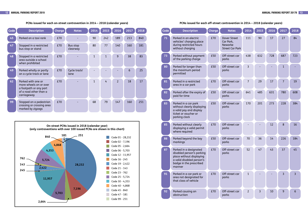### **PCNs issued for each on-street contravention in 2014 – 2018 (calendar years) PCNs issued for each off-street contravention in 2014 – 2018 (calendar years)**

| Code | <b>Description</b>                                                        | <b>Charge</b> | <b>Notes</b>         | 2014 | 2015 | 2016           | 2017 | 2018 | Code | <b>Description</b>                                                            | <b>Charge</b> | <b>Notes</b>                             | 2014           | 2015 | 2016 | 2017 | 2018 |
|------|---------------------------------------------------------------------------|---------------|----------------------|------|------|----------------|------|------|------|-------------------------------------------------------------------------------|---------------|------------------------------------------|----------------|------|------|------|------|
| 45   | Parked on a taxi rank                                                     | £70           |                      | 90   | 242  | 189            | 213  | 840  | 71   | Parked in an electric<br>vehicles' charging place                             | £70           | <b>Dover Street</b><br>Car Park,         | 111            | 90   | 17   | 27   | 84   |
| 47   | Stopped in a restricted<br>bus stop or stand                              | £70           | Bus stop<br>clearway | 80   | 77   | 140            | 160  | 181  |      | during restricted hours<br>without charging                                   |               | <b>Newarke</b><br><b>Street Car Park</b> |                |      |      |      |      |
| 48   | Stopped in a restricted<br>area outside a school<br>when prohibited       | £70           |                      |      |      | 9              | 38   | 83   | 73   | Parked without payment<br>of the parking charge                               | £50           | Off-street car<br>parks                  | 438            | 632  | 728  | 687  | 723  |
| 49   | Parked wholly or partly                                                   | £70           | Cycle track/         |      |      |                | 6    | 25   | 80   | Parked for longer than<br>the maximum period                                  | £50           | Off-street car<br>parks                  | $\overline{3}$ |      |      |      |      |
|      | on a cycle track or lane                                                  |               | lane                 |      |      |                |      |      |      | permitted                                                                     |               |                                          |                |      |      |      |      |
| 62   | Parked with one or<br>more wheels on or over<br>a footpath or any part    | £70           |                      |      | 4    | $\overline{2}$ | 18   | 17   | 81   | Parked in a restricted<br>area in a car park                                  | £70           | Off-street car<br>parks                  | $\overline{7}$ | 29   | 17   |      | 19   |
|      | of a road other than a<br>carriageway                                     |               |                      |      |      |                |      |      | 82   | Parked after the expiry of<br>paid for time                                   | £50           | Off-street car<br>parks                  | 641            | 485  | 631  | 780  | 608  |
| 99   | Stopped on a pedestrian<br>crossing or crossing area<br>marked by zigzags | £70           |                      | 68   | 79   | 147            | 160  | 251  | 83   | Parked in a car park<br>without clearly displaying<br>a valid pay and display | £50           | Off-street car<br>parks                  | 170            | 201  | 273  | 228  | 384  |

**Parks Without Clearly 19th CNs issued in 2018 (calendar year) and the street PCNs issued PCNs are shown in this chart) and the street of the street PCNs issued PCNs are shown in this chart) and the street of the str** 

| <b>Code</b> | <b>Description</b>                                                                                                                                | <b>Charge</b> | <b>Notes</b>                                                          | 2014           | 2015           | 2016 | 2017         | 2018           |
|-------------|---------------------------------------------------------------------------------------------------------------------------------------------------|---------------|-----------------------------------------------------------------------|----------------|----------------|------|--------------|----------------|
| 71          | Parked in an electric<br>vehicles' charging place<br>during restricted hours<br>without charging                                                  | £70           | <b>Dover Street</b><br>Car Park,<br>Newarke<br><b>Street Car Park</b> | 111            | 90             | 17   | 27           | 84             |
| 73          | Parked without payment<br>of the parking charge                                                                                                   | £50           | Off-street car<br>parks                                               | 438            | 632            | 728  | 687          | 723            |
| 80          | Parked for longer than<br>the maximum period<br>permitted                                                                                         | £50           | Off-street car<br>parks                                               | 3              |                |      | $\mathbf{1}$ |                |
| 81          | Parked in a restricted<br>area in a car park                                                                                                      | £70           | Off-street car<br>parks                                               | 7              | 29             | 17   | 7            | 19             |
| 82          | Parked after the expiry of<br>paid for time                                                                                                       | £50           | Off-street car<br>parks                                               | 641            | 485            | 631  | 780          | 608            |
| 83          | Parked in a car park<br>without clearly displaying<br>a valid pay and display<br>ticket or voucher or<br>parking clock                            | £50           | Off-street car<br>parks                                               | 170            | 201            | 273  | 228          | 384            |
| 85          | Parked without clearly<br>displaying a valid permit<br>where required                                                                             | £70           | Off-street car<br>parks                                               |                |                | 12   | 8            | 16             |
| 86          | Parked beyond the bay<br>markings                                                                                                                 | £50           | Off-street car<br>parks                                               | 70             | 36             | 14   | 226          | 184            |
| 87          | Parked in a designated<br>disabled person's parking<br>place without displaying<br>a valid disabled person's<br>badge in the prescribed<br>manner | £70           | Off-street car<br>parks                                               | 52             | 47             | 43   | 37           | 45             |
| 91          | Parked in a car park or<br>area not designated for<br>that class of vehicle                                                                       | £70           | Off-street car<br>parks                                               | 1              |                |      | 3            | $\overline{3}$ |
| 92          | Parked causing an<br>obstruction                                                                                                                  | £70           | Off-street car<br>parks                                               | $\overline{2}$ | $\overline{3}$ | 10   | 9            | 6              |

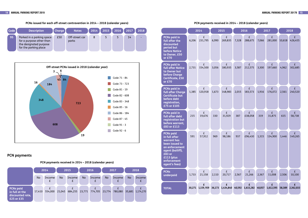

### **PCNs issued for each off-street contravention in 2014 – 2018 (calendar years) PCN payments received in 2014 – 2018 (calendar years)**





## **PCN payments**

### **PCN payments received in 2014 – 2018 (calendar years)**

|                                                                      |           | 2014        |           | 2015    |           | 2016    |           | 2017    |           | 2018          |
|----------------------------------------------------------------------|-----------|-------------|-----------|---------|-----------|---------|-----------|---------|-----------|---------------|
|                                                                      | <b>No</b> | Income<br>£ | <b>No</b> | Income  | <b>No</b> | Income  | <b>No</b> | Income  | <b>No</b> | <b>Income</b> |
| <b>PCNs paid</b><br>in full at the<br>discounted rate,<br>£25 or £35 | 17,410    | 554,000     | 21,045    | 684,255 | 23,771    | 774,705 | 23,774    | 780,080 | 35,681    | 1,174,270     |

|                                                                                                                                                                    |        | 2014                         |        | 2015           |        | 2016           |        | 2017           | 2018   |                |  |
|--------------------------------------------------------------------------------------------------------------------------------------------------------------------|--------|------------------------------|--------|----------------|--------|----------------|--------|----------------|--------|----------------|--|
| <b>PCNs paid in</b><br>full after the<br>discounted<br>period but<br><b>before Notice</b><br>to Owner, £50<br>or £70                                               | 6,206  | £<br>231,795                 | 6,990  | £<br>269,835   | 7,328  | £<br>288,675   | 7,066  | £<br>281,000   | 10,618 | £<br>426,455   |  |
| <b>PCNs paid in</b><br><b>full after Notice</b><br>to Owner but<br><b>before Charge</b><br>Certificate, £50<br>or £70                                              | 2,731  | £<br>154,500                 | 3,056  | £<br>180,935   | 3,587  | £<br>212,575   | 3,300  | £<br>197,660   | 4,962  | £<br>302,685   |  |
| <b>PCNs paid in</b><br>full after Charge<br><b>Certificate but</b><br>before debt<br>registration,<br>£75 or £105                                                  | 1,385  | £<br>120,918                 | 1,673  | £<br>148,983   | 2,015  | £<br>183,573   | 1,916  | £<br>176,072   | 2,561  | £<br>240,520   |  |
| <b>PCNs paid in</b><br>full after debt<br>registration but<br>before warrant,<br>£83 or £113                                                                       | 215    | £<br>19,676                  | 330    | £<br>31,929    | 387    | £<br>£38,058   | 319    | £<br>31,875    | 615    | £<br>58,738    |  |
| <b>PCNs paid</b><br>in full after<br>warrant has<br>been issued to<br>an enforcement<br>agent (bailiff),<br>£83 or<br>$£113$ (plus<br>enforcement<br>agent's fees) | 591    | $\pmb{\mathsf{f}}$<br>57,912 | 969    | £<br>98,186    | 937    | £<br>£96,430   | 1,315  | £<br>134,900   | 1,446  | £<br>149,265   |  |
| <b>PCNs</b><br>underpaid                                                                                                                                           | 1,733  | £<br>21,158                  | 2,110  | £<br>20,717    | 2,567  | £<br>21,266    | 2,367  | £<br>11,008    | 2,506  | £<br>10,100    |  |
| <b>TOTAL</b>                                                                                                                                                       | 30,271 | £<br>1,159, 959              | 36,173 | £<br>1,434,840 | 40,592 | £<br>1,615,282 | 40,057 | £<br>1,612,595 | 58,389 | £<br>2,362,033 |  |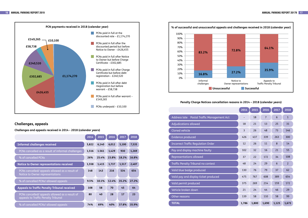

## **Challenges, appeals**

**Challenges and appeals received in 2014 - 2018 (calendar years)** 

| Address late Postal Traffic Management Act |                |
|--------------------------------------------|----------------|
| Adjudications allowed                      | 1 <sub>i</sub> |
| <b>Cloned vehicle</b>                      | $\overline{3}$ |
| Evidence produced                          | 42             |
| <b>Incorrect Traffic Regulation Order</b>  | 1              |
| Pay and display machine faulty             | 10             |
| Representations allowed                    | 3 <sup>2</sup> |
| Traffic Penalty Tribunal no contest        | 4 <sub>i</sub> |
| Valid blue badge produced                  | 13             |
| Valid pay and display ticket produced      | 47             |
| Valid permit produced                      | 37             |
| Vehicle broken down                        | $2^{\circ}$    |
| Other reasons                              | 13             |
| <b>TOTAL</b>                               | 1,7            |
|                                            |                |

|                                                                                       | 2014  | $\overline{2015}$ | 2016  | 2017  | 2018  |
|---------------------------------------------------------------------------------------|-------|-------------------|-------|-------|-------|
| <b>Informal challenges received</b>                                                   | 5,822 | 6,140             | 6,012 | 5,100 | 7,535 |
| PCNs cancelled as a result of informal challenges                                     | 1,516 | 1.561             | 1,429 | 930   | 1,269 |
| % of cancelled PCNs                                                                   | 26%   | 25.4%             | 23.8% | 18.2% | 16.8% |
| Notice to Owner representations received                                              | 1,558 | 1,415             | 1,737 | 1,517 | 2,407 |
| PCNs cancelled/ appeals allowed as a result of<br>Notice to Owner representations     | 148   | 143               | 216   | 534   | 654   |
| % of cancelled PCNs/ allowed appeals                                                  | 9.5%  | 10.1%             | 12.4% | 35.2% | 27.2% |
| <b>Appeals to Traffic Penalty Tribunal received</b>                                   | 108   | 58                | 70    | 45    | 64    |
| PCNs cancelled/ appeals allowed as a result of<br>appeals to Traffic Penalty Tribunal | 80    | 40                | 28    | 17    | 23    |
| % of cancelled PCNs/ allowed appeals                                                  | 74%   | 69%               | 40%   | 37.8% | 35.9% |

|                                            | 2014  | 2015  | 2016           | 2017            | 2018           |
|--------------------------------------------|-------|-------|----------------|-----------------|----------------|
| Address late Postal Traffic Management Act |       | 18    | $\overline{7}$ | $6\phantom{1}6$ | $\mathbf{1}$   |
| <b>Adjudications allowed</b>               | 18    | 21    | 13             | 25              | 31             |
| <b>Cloned vehicle</b>                      | 3     | 26    | 48             | 73              | 146            |
| <b>Evidence produced</b>                   | 426   | 437   | 339            | 263             | 300            |
| <b>Incorrect Traffic Regulation Order</b>  | 12    | 26    | 11             | 8               | 14             |
| Pay and display machine faulty             | 102   | 32    | 16             | 21              | 55             |
| Representations allowed                    | 37    | 22    | 172            | 34              | 108            |
| Traffic Penalty Tribunal no contest        | 48    | 24    | 29             | 6               | $\overline{2}$ |
| Valid blue badge produced                  | 130   | 76    | 79             | 37              | 62             |
| Valid pay and display ticket produced      | 475   | 767   | 608            | 389             | 654            |
| Valid permit produced                      | 375   | 269   | 214            | 159             | 172            |
| Vehicle broken down                        | 21    | 24    | 44             | 46              | 29             |
| Other reasons                              | 139   | 58    | 110            | 58              | 99             |
| <b>TOTAL</b>                               | 1,786 | 1,800 | 1,690          | 1,125           | 1,673          |



### **Penalty Charge Notices cancellation reasons in 2014 – 2018 (calendar years)**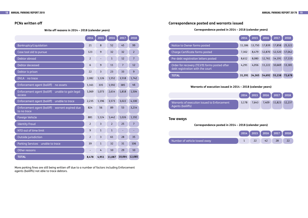Write off reasons in 2014 – 2018 (calendar years) **Correspondence posted in 2014 – 2018 (calendar years**)

|                                                                                   | 2014   | 2015   | 2016   | 2017   | 2018           |
|-----------------------------------------------------------------------------------|--------|--------|--------|--------|----------------|
| Notice to Owner forms posted                                                      | 11,186 | 13,750 | 17,839 | 17,858 | 25,322         |
| Charge Certificate forms posted                                                   | 7,302  | 8,479  | 12,870 | 12,520 | 17,042         |
| Pre-debt registration letters posted                                              | 8,612  | 8,080  | 12,761 | 14,191 | 17,133         |
| Order for recovery (TE3/9) forms posted after<br>debt registration with the court | 4,291  | 4,056  | 11,222 | 10,669 | 13,181         |
| <b>TOTAL</b>                                                                      | 31,391 | 34,365 | 54,692 | 55,238 | 72,678         |
| Warrants of execution issued in 2014 - 2018 (calendar years)                      |        |        |        |        |                |
|                                                                                   |        |        |        |        |                |
|                                                                                   | 2014   | 2015   | 2016   | 2017   | 2018           |
| Warrants of execution issued to Enforcement<br>Agents (bailiffs)                  | 3,178  | 7,643  | 7,409  | 11,823 |                |
| Tow aways<br>Correspondence posted in 2014 - 2018 (calendar years)                |        |        |        |        |                |
|                                                                                   | 2014   | 2015   | 2016   | 2017   | 12,237<br>2018 |

|                                                                   | 2014           | 2015                    | 2016           | 2017           | 2018           |
|-------------------------------------------------------------------|----------------|-------------------------|----------------|----------------|----------------|
| Bankruptcy/Liquidation                                            | 21             | 8                       | 52             | 45             | 99             |
| Case tool old to pursue                                           | 123            | $\overline{9}$          | 32             | 32             | $\overline{2}$ |
| Debtor abroad                                                     | $\overline{2}$ |                         | $\mathbf{1}$   | 12             | $\overline{7}$ |
| <b>Debtor deceased</b>                                            | $6\,$          | 9                       | 11             | $\overline{7}$ | 12             |
| Debtor is prison                                                  | 22             | $\overline{\mathbf{3}}$ | 23             | 33             | 9              |
| <b>DVLA</b><br>no trace                                           | 2,082          | 1,126                   | 1,552          | 3,518          | 1,742          |
| <b>Enforcement agent (bailiff)</b><br>no assets                   | 1,161          | 335                     | 1,592          | 385            | 46             |
| Enforcement agent (bailiff)<br>unable to gain legal<br>access     | 1,069          | 1,073                   | 2,614          | 1,818          | 1,504          |
| unable to trace<br>Enforcement agent (bailiff)                    | 2,235          | 1,196                   | 3,573          | 3,022          | 4,100          |
| Enforcement agent (bailiff)<br>warrant expired due<br>to no trace | 824            | 56                      | 89             | 53             | 3,214          |
| Foreign Vehicle                                                   | 881            | 1,124                   | 1,442          | 1,026          | 1,192          |
| <b>Identity Fraud</b>                                             | $\overline{2}$ | $\overline{3}$          | $\overline{2}$ | 25             | $\overline{7}$ |
| NTO out of time limit                                             | 9              | $\mathbf{1}$            | $\mathbf{1}$   |                |                |
| Outside jurisdiction                                              | $\overline{2}$ | $\overline{3}$          | 61             | 28             | 35             |
| <b>Parking Services</b><br>unable to trace                        | 39             | $\mathbf{1}$            | 32             | 31             | 106            |
| Other reasons                                                     |                | $\overline{4}$          | 10             | 29             | 10             |
| <b>TOTAL</b>                                                      | 8,478          | 4,951                   | 11,087         | 10,064         | 12,085         |

More parking fnes are still being written off due to a number of factors including Enforcement agents (bailiffs) not able to trace debtors.

## PCNs written off **Correspondence posted and warrants issued**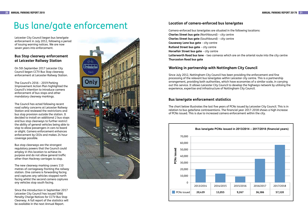# Bus lane/gate enforcement

Leicester City Council began bus lane/gate enforcement in July 2012, following a period of issuing warning notices. We are now seven years into enforcement.

 The Council's 2016 – 2019 Parking Improvement Action Plan highlighted the Council's intention to introduce camera enforcement of bus stops and other mandatory clearway markings.

## **Bus Stop clearway enforcement at Leicester Railway Station**

On 5th September 2017 Leicester City Council began CCTV Bus Stop clearway enforcement at Leicester Railway Station.

 be available in the next Annual Report. Since the introduction in September 2017 Leicester City Council has issued 5066 Penalty Charge Notices for CCTV Bus Stop Clearway. A full report of the statistics will



The Council has acted following recent road safety concerns at Leicester Railway Station and reviewed the restrictions and bus stop provision outside the station. It decided to install an additional 2 bus stops and bus stop clearways to further restrict the ability of general vehicles being able to stop to allow passengers in cars to board or alight. Camera enforcement enhances enforcement by CEOs and makes 24 hour coverage possible.

 **Charles Street bus gate** (Northbound) – city centre **Charles Street bus gate** (Southbound) – city centre **Causeway Lane bus gate** – city centre **Rutland Street bus gate** – city centre **Horsefair Street bus gate** – city centre **Lutterworth Road bus lane** – two cameras which are on the arterial route into the city centre Camera-enforced bus lane/gates are situated in the following locations: **Thurcaston Road bus gate** 

Bus stop clearways are the strongest regulatory powers that the Council could employ in this location to achieve its purpose and do not allow general traffc other than Hackney carriages to stop.

 experience, expertise and infrastructure of Nottingham City Council. Since July 2012, Nottingham City Council has been providing the enforcement and fne processing of the relevant bus lane/gates within Leicester city centre. This is a partnership arrangement, providing both authorities, which have economies of a similar scale, in carrying out this service. It allows Leicester City Council to develop the highways network by utilising the

The new clearway marking covers 110 metres of carriageway fronting the railway station. One camera is forwarding facing and captures any vehicles stopped north facing whilst the second camera captures any vehicles stop south facing.

# **Location of camera-enforced bus lane/gates**

## **Working in partnership with Nottingham City Council**

## **Bus lane/gate enforcement statistics**

The chart below illustrates the last fve years of PCNs issued by Leicester City Council. This is in relation to bus gate/lane contraventions. The fnancial year 2017-2018 shows a high increase of PCNs issued. This is due to increased camera enforcement within the city.

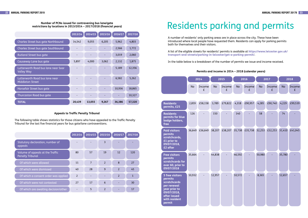### **Number of PCNs issued for contravening bus lane/gate restrictions by locations in 2013/2014 – 2017/2018 (fnancial years)**

|                                                           | 2013/14 | 2014/15 | 2015/16 | 2016/17 | 2017/18 |
|-----------------------------------------------------------|---------|---------|---------|---------|---------|
| Charles Street bus gate Northbound                        | 14,542  | 9,055   | 6,205   | 5,962   | 4,803   |
| Charles Street bus gate Southbound                        |         |         |         | 2,566   | 1,772   |
| <b>Rutland Street bus gate</b>                            |         |         |         | 3,019   | 2,060   |
| Causeway Lane bus gate                                    | 5,897   | 4,000   | 3,062   | 2,132   | 1,875   |
| Lutterworth Road bus lane near Soar<br><b>Valley Way</b>  |         |         |         | 5,189   | 12,356  |
| Lutterworth Road bus lane near<br><b>Middleton Street</b> |         |         |         | 6,582   | 5,262   |
| Horsefair Street bus gate                                 |         |         |         | 10,936  | 18,865  |
| Thurcaston Road bus gate                                  |         |         |         |         | 10,327  |
| <b>TOTAL</b>                                              | 20,439  | 13,055  | 9,267   | 36,386  | 57,320  |

The following table shows statistics for those citizens who have appealed to the Traffic Penalty Tribunal for the last fve fnancial years for bus gate/lane contraventions.

### **Appeals to Traffc Penalty Tribunal**

|                                                             | 2013/14        | 2014/15        | 2015/16        | 2016/17        | 2017/18 |
|-------------------------------------------------------------|----------------|----------------|----------------|----------------|---------|
| Statutory declaration, number of<br>appeals                 |                |                | 3              |                |         |
| Volume of appeals at the Traffic<br><b>Penalty Tribunal</b> | 80             | 57             | 19             | 12             | 120     |
| Of which were allowed                                       | 11             | $\overline{7}$ | $\overline{2}$ | 8              | 27      |
| Of which were dismissed                                     | 40             | 28             | 9              | $\overline{2}$ | 45      |
| Of which a consent order was applied                        | $\overline{2}$ |                |                | $\overline{2}$ | 1       |
| Of which were not contested                                 | 27             | 17             | 6              |                | 30      |
| Of which are awaiting decision/other                        |                | 5              | $\overline{2}$ |                | 17      |

# Residents parking and permits

A number of residents' only parking areas are in place across the city. These have been introduced where local people have requested them. Residents can apply for parking permits both for themselves and their visitors.

A list of the eligible streets for residents' permits is available at **https://www.leicester.gov.uk/ [transport-and-streets/parking-in-leicester/get-a-parking-permit/](https://www.leicester.gov.uk/transport-and-streets/parking-in-leicester/get-a-parking-permit/)**.

In the table below is a breakdown of the number of permits we issue and income received.

### **Permits and income in 2014 – 2018 (calendar years)**



|                                                                                                                                             |           | 2014        |           | 2015        |  |
|---------------------------------------------------------------------------------------------------------------------------------------------|-----------|-------------|-----------|-------------|--|
|                                                                                                                                             | <b>No</b> | Income<br>f | <b>No</b> | Income<br>£ |  |
|                                                                                                                                             |           |             |           |             |  |
| <b>Residents</b><br>permits, £25                                                                                                            | 2,859     | £58,158     | 3,789     | £79,822     |  |
| <b>Residents</b><br>permits for blue<br>badge holders,<br>free                                                                              | 126       |             | 150       |             |  |
| <b>Paid visitors</b><br>permits<br>scratchcards,<br>£1 prior to<br>09/07/2018,<br>£2 after                                                  | 36,649    | £36,649     | 38,207    | £38,207     |  |
| <b>Free visitors</b><br>permits<br>scratchcards for<br>over 60, prior to<br>09/07/2018                                                      | 35,664    |             | 44,838    |             |  |
| <b>5 free visitors</b><br>permits<br>scratchcards<br>per renewal<br>year prior to<br>09/07/2018,<br>after issued<br>with resident<br>permit | 10,932    |             | 12,957    |             |  |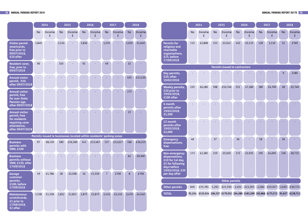### **24 ANNUAL PARKING REPORT 2019 ANNUAL PARKING REPORT 20179 25**

|                                                                                                              |       | 2014        |           | 2015                                                                 |           | 2016        |                | 2017        |           | 2018        |
|--------------------------------------------------------------------------------------------------------------|-------|-------------|-----------|----------------------------------------------------------------------|-----------|-------------|----------------|-------------|-----------|-------------|
|                                                                                                              | No    | Income<br>£ | <b>No</b> | Income<br>£                                                          | <b>No</b> | Income<br>£ | <b>No</b>      | Income<br>£ | <b>No</b> | Income<br>£ |
| <b>Visitor permit</b><br>smartcards,<br>free prior to<br>09/07/2018,<br>£10 after                            | 1,849 |             | 2,134     |                                                                      | 1,836     |             | 1,535          |             | 1,035     | £1,640      |
| <b>Resident carer,</b><br>free, prior to<br>09/07/2018                                                       | 90    |             | 103       |                                                                      | 92        |             | 49             |             | 32        |             |
| <b>Annual visitor</b><br>permit, £30,<br>after 09/07/2018                                                    |       |             |           |                                                                      |           |             |                |             | 455       | £12,530     |
| <b>Annual visitor</b><br>permit, free<br>for over State<br>Pension age,<br>after 09/07/2018                  |       |             |           |                                                                      |           |             |                |             | 273       |             |
| <b>Annual visitor</b><br>permit, free<br>for residents<br>requiring carer<br>attendance,<br>after 09/07/2018 |       |             |           |                                                                      |           |             |                |             | 23        |             |
|                                                                                                              |       |             |           | Permits issued to businesses located within residents' parking zones |           |             |                |             |           |             |
| <b>Business</b><br>permits with<br><b>VRM, £100</b>                                                          | 97    | £8,139      | 180       | £16,300                                                              | 143       | £13,467     | 137            | £12,617     | 166       | £16,225     |
| <b>Business</b><br>permits without<br>VRM, £150, after<br>17/09/2018                                         |       |             |           |                                                                      |           |             |                |             | 62        | £9,300      |
| <b>Garage</b><br>customer<br>permits,<br>£100, before<br>17/09/2018                                          | 19    | £1,786      | 28        | £2,508                                                               | 16        | £1,550      | $\overline{7}$ | £700        | 8         | £758        |
| <b>Maintenance</b><br>scratchcards,<br>£1 prior to<br>17/09/2018,<br>£2 after                                | 1,538 | £1,538      | 1,852     | £1,852                                                               | 2,875     | £2,875      | 2,410          | £2,410      | 3,470     | £4,540      |

|                                                                                                                                   |           | 2014        |           | 2015                     |
|-----------------------------------------------------------------------------------------------------------------------------------|-----------|-------------|-----------|--------------------------|
|                                                                                                                                   | <b>No</b> | Income<br>£ | <b>No</b> | Income<br>£              |
| <b>Permits for</b><br>religious and<br>charitable<br>organisations,<br>£25, before<br>17/09/2018                                  | 115       | £2,808      | 153       | £3,543                   |
|                                                                                                                                   |           |             |           | <b>Permits issued to</b> |
| Day permits,<br>£20, after<br>19/02/2018                                                                                          |           |             |           |                          |
| <b>Weekly permits,</b><br>£20 prior to<br>19/02/2018,<br>£100 after                                                               | 235       | £6,280      | 398       | £10,740                  |
| 6 month<br>permits after<br>19/02/2018,<br>£1,500                                                                                 |           |             |           |                          |
| 12 month<br>permits after<br>19/02/2018,<br>£2,000                                                                                |           |             |           |                          |
| <b>Emergency</b><br>dispensations,<br>free                                                                                        | 48        |             | 37        |                          |
| <b>Non-emergency</b><br>dispensations,<br>£10 for 1st day,<br>£5 for following<br>days before<br>19/02/2018, £30<br>per day after | 173       | £2,385      | 219       | £5,030                   |
|                                                                                                                                   |           |             |           | Other per                |
| <b>Other permits</b>                                                                                                              | 830       | £15,781     | 1,292     | £21,550                  |
| <b>TOTAL</b>                                                                                                                      | 91,224    | £133,524    | 106,337   | £179,552                 |

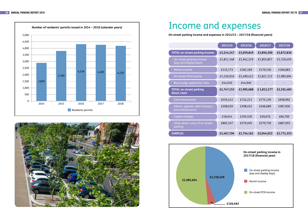



|                                                    | 2014/15    | 2015/16    | 2016/17    | 2017/18    |
|----------------------------------------------------|------------|------------|------------|------------|
| <b>TOTAL on-street parking income</b>              | £3,214,347 | £3,659,849 | £3,856,300 | £3,872,836 |
| On-street parking income<br>(pay and display bays) | £1,811,148 | £1,942,319 | £1,855,857 | £1,720,459 |
| Permit income                                      | £133,173   | £182,169   | £179,330   | £166,683   |
| On-street PCN income                               | £1,226,016 | £1,490,421 | £1,821,113 | £1,985,694 |
| Blue badge application fees                        | £44,010    | £44,940    |            |            |
| <b>TOTAL on-street parking</b><br>direct costs     | £1,747,153 | £1,905,688 | £1,812,277 | £2,101,483 |
| Civil enforcement                                  | £555,412   | £732,211   | £775,159   | £958,992   |
| Admin, appeals, debt recovery<br>and maintenance   | £308,020   | £398,452   | £406,689   | £387,836   |
| Capital charges                                    | £18,614    | £195,530   | £50,670    | £66,700    |
| Other direct costs of on-street<br>parking         | £865,107   | £579,495   | £579,759   | £687,955   |
| <b>SURPLUS</b>                                     | £1,467,194 | £1,754,161 | £2,044,023 | £1,771,353 |

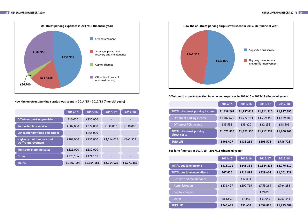



How the on-street parking surplus was spent in 2014/15 - 2017/18 (financial years)

**Off-street (car parks) parking income and expenses in 2014/15 – 2017/18 (fnancial years)** 

|                                                       | 2014/15    | $\overline{2015/16}$ | 2016/17    | 2017/18    |
|-------------------------------------------------------|------------|----------------------|------------|------------|
| <b>Off-street parking provision</b>                   | £10,000    | £335,000             |            |            |
| <b>Supported bus service</b>                          | £507,000   | £372,000             | £930,000   | £930,000   |
| <b>Concessionary fares and passes</b>                 |            | £455,000             |            |            |
| <b>Highway maintenance and</b><br>traffic improvement | £109,000   | £236,000             | £1,114,023 | £841,353   |
| <b>Transport planning costs</b>                       | £621,000   | £182,000             |            |            |
| <b>Other</b>                                          | £220,194   | £174,161             |            |            |
| <b>TOTAL</b>                                          | £1,467,194 | £1,754,161           | £2,044,023 | £1,771,353 |

|                                                 | 2014/15    | 2015/16    | 2016/17    | 2017/18    |
|-------------------------------------------------|------------|------------|------------|------------|
| <b>TOTAL off-street parking income</b>          | £1,438,262 | £1,757,611 | £1,811,510 | £1,937,695 |
| Off-street parking income                       | £1,402,670 | £1,722,191 | £1,769,352 | £1,889,189 |
| Off-street PCN income                           | £35,592    | £35,420    | £42,158    | £48,506    |
| <b>TOTAL off-street parking</b><br>direct costs | £1,071,835 | £1,322,330 | £1,212,937 | £1,200,967 |
| <b>SURPLUS</b>                                  | £366,427   | £435,281   | £598,573   | £736,728   |

**Bus lane fnances in 2014/15 - 2017/18 (fnancial years)** 

|                                   | 2014/15    | 2015/16  | 2016/17    | 2017/18    |
|-----------------------------------|------------|----------|------------|------------|
| <b>TOTAL bus lane income</b>      | £313,101   | £245,331 | £1,184,236 | £2,276,812 |
| <b>TOTAL bus lane expenditure</b> | £67,626    | £211,897 | £529,408   | £1,001,728 |
| Repairs and maintenance           |            | £12,031  |            |            |
| Administration                    | £131,427   | £192,719 | £459,269   | £744,283   |
| Capital charges                   |            |          | £29,090    |            |
| Other                             | $-E63,801$ | £7,147   | £41,049    | £257,445   |
| <b>SURPLUS</b>                    | £245,475   | £33,434  | £654,828   | £1,275,084 |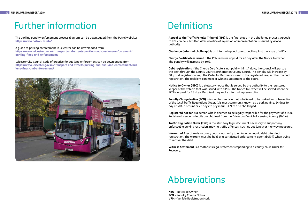# Further information

The parking penalty enforcement process diagram can be downloaded from the Patrol website: **<https://www.patrol-uk.info/>**

A guide to parking enforcement in Leicester can be downloaded from **[https://www.leicester.gov.uk/transport-and-streets/parking-and-bus-lane-enforcement/](https://www.leicester.gov.uk/transport-and-streets/parking-and-bus-lane-enforcement/parking-fines-and-enforcement/)  parking-fnes-and-enforcement/** 

Leicester City Council Code of practice for bus lane enforcement can be downloaded from **[https://www.leicester.gov.uk/transport-and-streets/parking-and-bus-lane-enforcement/bus](https://www.leicester.gov.uk/transport-and-streets/parking-and-bus-lane-enforcement/bus-lane-fines-and-enforcement/)lane-fnes-and-enforcement/** 



# **Definitions**

**Appeal to the Traffc Penalty Tribunal (TPT)** is the fnal stage in the challenge process. Appeals to TPT can be submitted after a Notice of Rejection of Representation is served by a local authority.

**Challenge (informal challenge)** is an informal appeal to a council against the issue of a PCN.

**Charge Certifcate** is issued if the PCN remains unpaid for 28 day after the Notice to Owner. The penalty will increase by 50%.

**Traffic Regulation Order (TRO)** is the statutory legal document necessary to support any enforceable parking restriction, moving traffc offences (such as bus lanes) or highway measures.

**Debt registration:** if the Charge Certifcate is not paid within 14 days, the council will pursue the debt through the County Court (Northampton County Court). The penalty will increase by £8 (court registration fee). The Order for Recovery is sent to the registered keeper after the debt registration. The recipient can make a Witness Statement to the court.

 **NTO** – Notice to Owner **PCN** – Penalty Charge Notice **VRM** – Vehicle Registration Mark

**Notice to Owner (NTO)** is a statutory notice that is served by the authority to the registered keeper of the vehicle that was issued with a PCN. The Notice to Owner will be served when the PCN is unpaid for 28 days. Recipient may make a formal representation.

**Penalty Charge Notice (PCN)** is issued to a vehicle that is believed to be parked in contravention of the local Traffic Regulations Order. It is most commonly known as a parking fine. 14 days to pay at 50% discount or 28 days to pay in full. PCN can be challenged.

**Registered Keeper** is a person who is deemed to be legally responsible for the payment of a PCN. Registered Keeper's details are obtained from the Driver and Vehicle Licensing Agency (DVLA).

**Warrant of Execution** is a county court's authority to enforce an unpaid debt after debt registration. The warrant must be held by a certifcated enforcement agent (bailiff) when trying to recover the debt.

**Witness Statement** is a motorist's legal statement responding to a county court Order for Recovery.

# Abbreviations